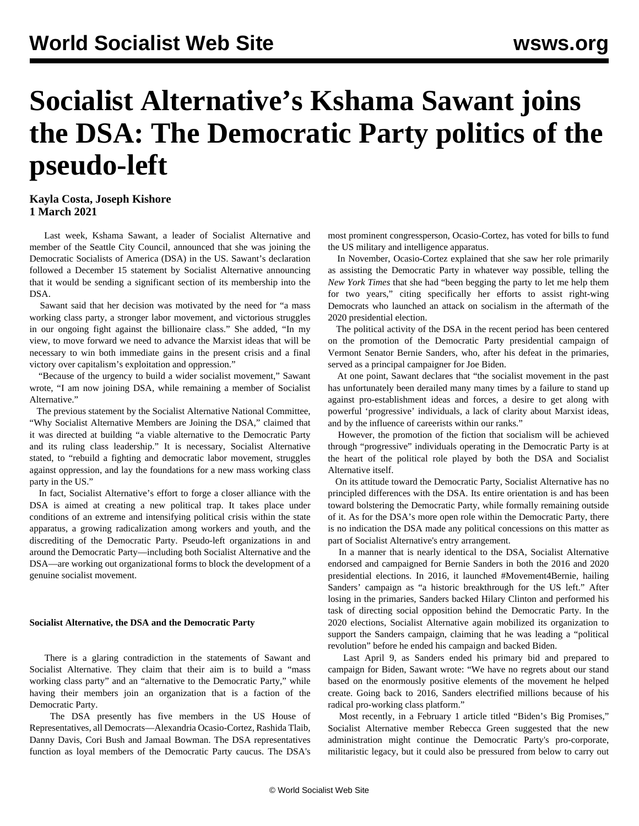# **Socialist Alternative's Kshama Sawant joins the DSA: The Democratic Party politics of the pseudo-left**

# **Kayla Costa, Joseph Kishore 1 March 2021**

 Last week, Kshama Sawant, a leader of Socialist Alternative and member of the Seattle City Council, announced that she was joining the Democratic Socialists of America (DSA) in the US. Sawant's declaration followed a December 15 statement by Socialist Alternative announcing that it would be sending a significant section of its membership into the DSA.

 Sawant said that her decision was motivated by the need for "a mass working class party, a stronger labor movement, and victorious struggles in our ongoing fight against the billionaire class." She added, "In my view, to move forward we need to advance the Marxist ideas that will be necessary to win both immediate gains in the present crisis and a final victory over capitalism's exploitation and oppression."

 "Because of the urgency to build a wider socialist movement," Sawant wrote, "I am now joining DSA, while remaining a member of Socialist Alternative."

 The previous statement by the Socialist Alternative National Committee, "Why Socialist Alternative Members are Joining the DSA," claimed that it was directed at building "a viable alternative to the Democratic Party and its ruling class leadership." It is necessary, Socialist Alternative stated, to "rebuild a fighting and democratic labor movement, struggles against oppression, and lay the foundations for a new mass working class party in the US."

 In fact, Socialist Alternative's effort to forge a closer alliance with the DSA is aimed at creating a new political trap. It takes place under conditions of an extreme and intensifying political crisis within the state apparatus, a growing radicalization among workers and youth, and the discrediting of the Democratic Party. Pseudo-left organizations in and around the Democratic Party—including both Socialist Alternative and the DSA—are working out organizational forms to block the development of a genuine socialist movement.

## **Socialist Alternative, the DSA and the Democratic Party**

 There is a glaring contradiction in the statements of Sawant and Socialist Alternative. They claim that their aim is to build a "mass working class party" and an "alternative to the Democratic Party," while having their members join an organization that is a faction of the Democratic Party.

 The DSA presently has five members in the US House of Representatives, all Democrats—Alexandria Ocasio-Cortez, Rashida Tlaib, Danny Davis, Cori Bush and Jamaal Bowman. The DSA representatives function as loyal members of the Democratic Party caucus. The DSA's most prominent congressperson, Ocasio-Cortez, has voted for bills to fund the US military and intelligence apparatus.

 In November, Ocasio-Cortez [explained](/en/articles/2020/11/10/dems-n10.html) that she saw her role primarily as assisting the Democratic Party in whatever way possible, telling the *New York Times* that she had "been begging the party to let me help them for two years," citing specifically her efforts to assist right-wing Democrats who launched an attack on socialism in the aftermath of the 2020 presidential election.

 The political activity of the DSA in the recent period has been centered on the promotion of the Democratic Party presidential campaign of Vermont Senator Bernie Sanders, who, after his defeat in the primaries, served as a principal campaigner for Joe Biden.

 At one point, Sawant declares that "the socialist movement in the past has unfortunately been derailed many many times by a failure to stand up against pro-establishment ideas and forces, a desire to get along with powerful 'progressive' individuals, a lack of clarity about Marxist ideas, and by the influence of careerists within our ranks."

 However, the promotion of the fiction that socialism will be achieved through "progressive" individuals operating in the Democratic Party is at the heart of the political role played by both the DSA and Socialist Alternative itself.

 On its attitude toward the Democratic Party, Socialist Alternative has no principled differences with the DSA. Its entire orientation is and has been toward bolstering the Democratic Party, while formally remaining outside of it. As for the DSA's more open role within the Democratic Party, there is no indication the DSA made any political concessions on this matter as part of Socialist Alternative's entry arrangement.

 In a manner that is nearly identical to the DSA, Socialist Alternative endorsed and campaigned for Bernie Sanders in both the 2016 and 2020 presidential elections. In 2016, it launched #Movement4Bernie, hailing Sanders' campaign as "a historic breakthrough for the US left." After losing in the primaries, Sanders backed Hilary Clinton and performed his task of directing social opposition behind the Democratic Party. In the 2020 elections, Socialist Alternative again mobilized its organization to support the Sanders campaign, claiming that he was leading a "political revolution" before he ended his campaign and backed Biden.

 Last April 9, as Sanders ended his primary bid and prepared to campaign for Biden, Sawant wrote: "We have no regrets about our stand based on the enormously positive elements of the movement he helped create. Going back to 2016, Sanders electrified millions because of his radical pro-working class platform."

 Most recently, in a February 1 article titled "Biden's Big Promises," Socialist Alternative member Rebecca Green suggested that the new administration might continue the Democratic Party's pro-corporate, militaristic legacy, but it could also be pressured from below to carry out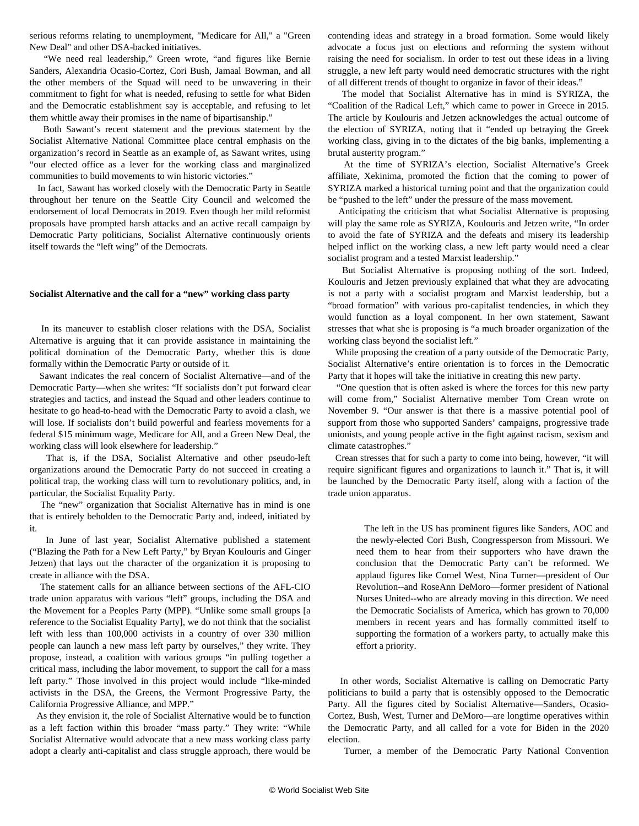serious reforms relating to unemployment, "Medicare for All," a "Green New Deal" and other DSA-backed initiatives.

 "We need real leadership," Green wrote, "and figures like Bernie Sanders, Alexandria Ocasio-Cortez, Cori Bush, Jamaal Bowman, and all the other members of the Squad will need to be unwavering in their commitment to fight for what is needed, refusing to settle for what Biden and the Democratic establishment say is acceptable, and refusing to let them whittle away their promises in the name of bipartisanship."

 Both Sawant's recent statement and the previous statement by the Socialist Alternative National Committee place central emphasis on the organization's record in Seattle as an example of, as Sawant writes, using "our elected office as a lever for the working class and marginalized communities to build movements to win historic victories."

 In fact, Sawant has worked closely with the Democratic Party in Seattle throughout her tenure on the Seattle City Council and welcomed the endorsement of local Democrats in 2019. Even though her mild reformist proposals have prompted harsh attacks and an active recall campaign by Democratic Party politicians, Socialist Alternative continuously orients itself towards the "left wing" of the Democrats.

#### **Socialist Alternative and the call for a "new" working class party**

 In its maneuver to establish closer relations with the DSA, Socialist Alternative is arguing that it can provide assistance in maintaining the political domination of the Democratic Party, whether this is done formally within the Democratic Party or outside of it.

 Sawant indicates the real concern of Socialist Alternative—and of the Democratic Party—when she writes: "If socialists don't put forward clear strategies and tactics, and instead the Squad and other leaders continue to hesitate to go head-to-head with the Democratic Party to avoid a clash, we will lose. If socialists don't build powerful and fearless movements for a federal \$15 minimum wage, Medicare for All, and a Green New Deal, the working class will look elsewhere for leadership."

 That is, if the DSA, Socialist Alternative and other pseudo-left organizations around the Democratic Party do not succeed in creating a political trap, the working class will turn to revolutionary politics, and, in particular, the Socialist Equality Party.

 The "new" organization that Socialist Alternative has in mind is one that is entirely beholden to the Democratic Party and, indeed, initiated by it.

 In June of last year, Socialist Alternative published a statement ("Blazing the Path for a New Left Party," by Bryan Koulouris and Ginger Jetzen) that lays out the character of the organization it is proposing to create in alliance with the DSA.

 The statement calls for an alliance between sections of the AFL-CIO trade union apparatus with various "left" groups, including the DSA and the Movement for a Peoples Party (MPP). "Unlike some small groups [a reference to the Socialist Equality Party], we do not think that the socialist left with less than 100,000 activists in a country of over 330 million people can launch a new mass left party by ourselves," they write. They propose, instead, a coalition with various groups "in pulling together a critical mass, including the labor movement, to support the call for a mass left party." Those involved in this project would include "like-minded activists in the DSA, the Greens, the Vermont Progressive Party, the California Progressive Alliance, and MPP."

 As they envision it, the role of Socialist Alternative would be to function as a left faction within this broader "mass party." They write: "While Socialist Alternative would advocate that a new mass working class party adopt a clearly anti-capitalist and class struggle approach, there would be

contending ideas and strategy in a broad formation. Some would likely advocate a focus just on elections and reforming the system without raising the need for socialism. In order to test out these ideas in a living struggle, a new left party would need democratic structures with the right of all different trends of thought to organize in favor of their ideas."

 The model that Socialist Alternative has in mind is SYRIZA, the "Coalition of the Radical Left," which came to power in Greece in 2015. The article by Koulouris and Jetzen acknowledges the actual outcome of the election of SYRIZA, noting that it "ended up betraying the Greek working class, giving in to the dictates of the big banks, implementing a brutal austerity program."

 At the time of SYRIZA's election, Socialist Alternative's Greek affiliate, Xekinima, promoted the fiction that the coming to power of SYRIZA marked a historical turning point and that the organization [could](https://www.socialistalternative.org/2015/01/09/greece-syriza-government/) [be](https://www.socialistalternative.org/2015/01/09/greece-syriza-government/) "pushed to the left" under the pressure of the mass movement.

 Anticipating the criticism that what Socialist Alternative is proposing will play the same role as SYRIZA, Koulouris and Jetzen write, "In order to avoid the fate of SYRIZA and the defeats and misery its leadership helped inflict on the working class, a new left party would need a clear socialist program and a tested Marxist leadership."

 But Socialist Alternative is proposing nothing of the sort. Indeed, Koulouris and Jetzen previously explained that what they are advocating is not a party with a socialist program and Marxist leadership, but a "broad formation" with various pro-capitalist tendencies, in which they would function as a loyal component. In her own statement, Sawant stresses that what she is proposing is "a much broader organization of the working class beyond the socialist left."

 While proposing the creation of a party outside of the Democratic Party, Socialist Alternative's entire orientation is to forces in the Democratic Party that it hopes will take the initiative in creating this new party.

 "One question that is often asked is where the forces for this new party will come from," Socialist Alternative member Tom Crean [wrote](https://www.socialistalternative.org/2020/11/09/never-another-trump-why-we-need-a-working-class-party/) on November 9. "Our answer is that there is a massive potential pool of support from those who supported Sanders' campaigns, progressive trade unionists, and young people active in the fight against racism, sexism and climate catastrophes."

 Crean stresses that for such a party to come into being, however, "it will require significant figures and organizations to launch it." That is, it will be launched by the Democratic Party itself, along with a faction of the trade union apparatus.

 The left in the US has prominent figures like Sanders, AOC and the newly-elected Cori Bush, Congressperson from Missouri. We need them to hear from their supporters who have drawn the conclusion that the Democratic Party can't be reformed. We applaud figures like Cornel West, Nina Turner—president of Our Revolution--and RoseAnn DeMoro—former president of National Nurses United--who are already moving in this direction. We need the Democratic Socialists of America, which has grown to 70,000 members in recent years and has formally committed itself to supporting the formation of a workers party, to actually make this effort a priority.

 In other words, Socialist Alternative is calling on Democratic Party politicians to build a party that is ostensibly opposed to the Democratic Party. All the figures cited by Socialist Alternative—Sanders, Ocasio-Cortez, Bush, West, Turner and DeMoro—are longtime operatives within the Democratic Party, and all called for a vote for Biden in the 2020 election.

Turner, a member of the Democratic Party National Convention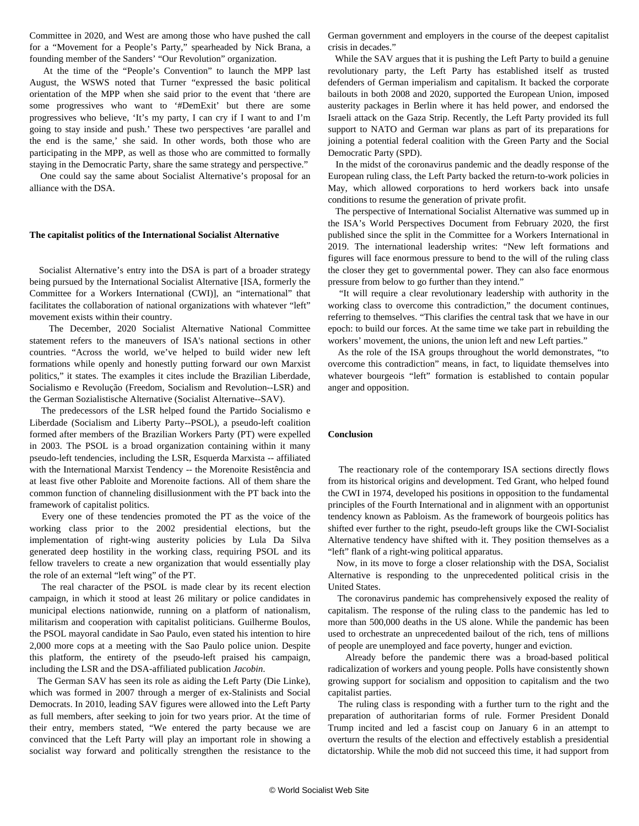Committee in 2020, and West are among those who have pushed the call for a "[Movement for a People's Party](/en/articles/2020/09/07/pepa-s07.html)," spearheaded by Nick Brana, a founding member of the Sanders' "Our Revolution" organization.

 At the time of the "People's Convention" to launch the MPP last August, the WSWS noted that Turner "expressed the basic political orientation of the MPP when she said prior to the event that 'there are some progressives who want to '#DemExit' but there are some progressives who believe, 'It's my party, I can cry if I want to and I'm going to stay inside and push.' These two perspectives 'are parallel and the end is the same,' she said. In other words, both those who are participating in the MPP, as well as those who are committed to formally staying in the Democratic Party, share the same strategy and perspective."

 One could say the same about Socialist Alternative's proposal for an alliance with the DSA.

#### **The capitalist politics of the International Socialist Alternative**

 Socialist Alternative's entry into the DSA is part of a broader strategy being pursued by the International Socialist Alternative [ISA, formerly the Committee for a Workers International (CWI)], an "international" that facilitates the collaboration of national organizations with whatever "left" movement exists within their country.

 The December, 2020 Socialist Alternative National Committee statement refers to the maneuvers of ISA's national sections in other countries. "Across the world, we've helped to build wider new left formations while openly and honestly putting forward our own Marxist politics," it states. The examples it cites include the Brazilian Liberdade, Socialismo e Revolução (Freedom, Socialism and Revolution--LSR) and the German Sozialistische Alternative (Socialist Alternative--SAV).

 The predecessors of the LSR helped found the Partido Socialismo e Liberdade (Socialism and Liberty Party--PSOL), a pseudo-left coalition formed after members of the Brazilian Workers Party (PT) were expelled in 2003. The PSOL is a broad organization containing within it many pseudo-left tendencies, including the LSR, Esquerda Marxista -- affiliated with the International Marxist Tendency -- the Morenoite Resistência and at least five other Pabloite and Morenoite factions*.* All of them share the common function of channeling disillusionment with the PT back into the framework of capitalist politics.

 Every one of these tendencies promoted the PT as the voice of the working class prior to the 2002 presidential elections, but the implementation of right-wing austerity policies by Lula Da Silva generated deep hostility in the working class, requiring PSOL and its fellow travelers to create a new organization that would essentially play the role of an external "left wing" of the PT.

 The real character of the PSOL is made clear by its recent election campaign, in which it stood at least 26 military or police candidates in municipal elections nationwide, running on a platform of nationalism, militarism and cooperation with capitalist politicians. Guilherme Boulos, the PSOL mayoral candidate in Sao Paulo, even stated his intention to hire 2,000 more cops at a meeting with the Sao Paulo police union. Despite this platform, the entirety of the pseudo-left praised his campaign, including the LSR and the DSA-affiliated publication *Jacobin*.

 The German SAV has seen its role as aiding the Left Party (Die Linke), which was formed in 2007 through a merger of ex-Stalinists and Social Democrats. In 2010, leading SAV figures [were allowed](/en/articles/2010/11/left-n11.html) into the Left Party as full members, after seeking to join for two years prior. At the time of their entry, members stated, "We entered the party because we are convinced that the Left Party will play an important role in showing a socialist way forward and politically strengthen the resistance to the German government and employers in the course of the deepest capitalist crisis in decades."

 While the SAV argues that it is pushing the Left Party to build a genuine revolutionary party, the Left Party has established itself as trusted defenders of German imperialism and capitalism. It backed the corporate bailouts in both 2008 and 2020, supported the European Union, imposed austerity packages in Berlin where it has held power, and endorsed the Israeli attack on the Gaza Strip. Recently, the Left Party provided its [full](/en/articles/2020/09/14/left-s14.html) [support](/en/articles/2020/09/14/left-s14.html) to NATO and German war plans as part of its preparations for joining a potential federal coalition with the Green Party and the Social Democratic Party (SPD).

 In the midst of the coronavirus pandemic and the deadly response of the European ruling class, the Left Party [backed the return-to-work policies](/en/articles/2020/05/26/link-m26.html) in May, which allowed corporations to herd workers back into unsafe conditions to resume the generation of private profit.

 The perspective of International Socialist Alternative was summed up in the ISA's World Perspectives Document from February 2020, the first published since the split in the Committee for a Workers International in 2019. The international leadership writes: "New left formations and figures will face enormous pressure to bend to the will of the ruling class the closer they get to governmental power. They can also face enormous pressure from below to go further than they intend."

 "It will require a clear revolutionary leadership with authority in the working class to overcome this contradiction," the document continues, referring to themselves. "This clarifies the central task that we have in our epoch: to build our forces. At the same time we take part in rebuilding the workers' movement, the unions, the union left and new Left parties."

 As the role of the ISA groups throughout the world demonstrates, "to overcome this contradiction" means, in fact, to liquidate themselves into whatever bourgeois "left" formation is established to contain popular anger and opposition.

### **Conclusion**

 The reactionary role of the contemporary ISA sections directly flows from its historical origins and development. Ted Grant, who helped found the CWI in 1974, developed his positions in opposition to the fundamental principles of the Fourth International and in alignment with an opportunist tendency known as Pabloism. As the framework of bourgeois politics has shifted ever further to the right, pseudo-left groups like the CWI-Socialist Alternative tendency have shifted with it. They position themselves as a "left" flank of a right-wing political apparatus.

 Now, in its move to forge a closer relationship with the DSA, Socialist Alternative is responding to the unprecedented political crisis in the United States.

 The coronavirus pandemic has comprehensively exposed the reality of capitalism. The response of the ruling class to the pandemic has led to more than 500,000 deaths in the US alone. While the pandemic has been used to orchestrate an unprecedented bailout of the rich, tens of millions of people are unemployed and face poverty, hunger and eviction.

 Already before the pandemic there was a broad-based political radicalization of workers and young people. Polls have consistently shown growing support for socialism and opposition to capitalism and the two capitalist parties.

 The ruling class is responding with a further turn to the right and the preparation of authoritarian forms of rule. Former President Donald Trump incited and led a fascist coup on January 6 in an attempt to overturn the results of the election and effectively establish a presidential dictatorship. While the mob did not succeed this time, it had support from